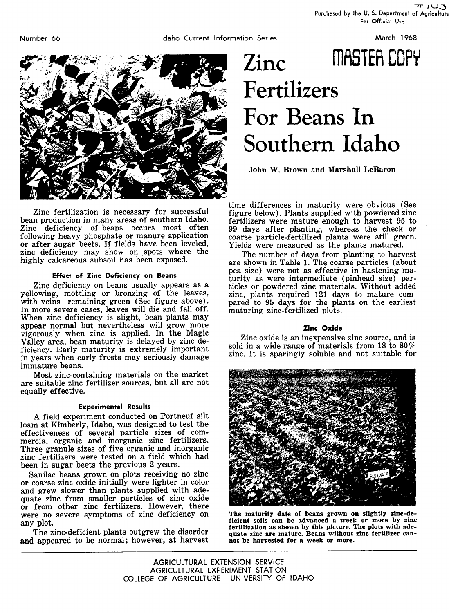Purchased by the U. S. Department of Agriculture For Official Use

Number 66



Zinc fertilization is necessary for successful bean production in many areas of southern Idaho. Zinc deficiency of beans occurs most often following heavy phosphate or manure application or after sugar beets. If fields have been leveled, zinc deficiency may show on spots where the highly calcareous subsoil has been exposed.

# **Effect of Zinc Deficiency on Beans**

Zinc deficiency on beans usually appears as a yellowing, mottling or bronzing of the leaves, with veins remaining green (See figure above). In more severe cases, leaves will die and fall off. When zinc deficiency is slight, bean plants may appear normal but nevertheless will grow more vigorously when zinc is applied. In the Magic Valley area, bean maturity is delayed by zinc deficiency. Early maturity is extremely important in years when early frosts may seriously damage immature beans.

Most zinc-containing materials on the market are suitable zinc fertilizer sources, but all are not equally effective.

# **Experimental Results**

A field experiment conducted on Portneuf silt loam at Kimberly, Idaho, was designed to test the effectiveness of several particle sizes of commercial organic and inorganic zinc fertilizers. Three granule sizes of five organic and inorganic zinc fertilizers were tested on a field which had been in sugar beets the previous 2 years.

Sanilac beans grown on plots receiving no zinc or coarse zinc oxide initially were lighter in color and grew slower than plants supplied with adequate zinc from smaller particles of zinc oxide or from other zinc fertilizers. However, there were no severe symptoms of zinc deficiency on any plot.

The zinc-deficient plants outgrew the disorder and appeared to be normal; however, at harvest

# Zinc MASTER COPY Fertilizers For Beans In Southern Idaho

**John W. Brown and Marshall LeBaron**

time differences in maturity were obvious (See figure below). Plants supplied with powdered zinc fertilizers were mature enough to harvest 95 to 99 days after planting, whereas the check or coarse particle-fertilized plants were still *green.* Yields were measured as the plants matured.

The number of days from planting to harvest are shown in Table 1. The coarse particles (about pea size) were not as effective in hastening maturity *as* were intermediate (pinhead size) particles or powdered zinc materials. Without added zinc, plants required 121 days to mature compared to 95 days for the plants on the earliest maturing zinc-fertilized plots.

# **Zinc Oxide**

Zinc oxide is an inexpensive zinc source, and is sold in a wide range of materials from 18 to  $80\%$ zinc. It is sparingly soluble and not suitable for



The maturity date of beans grown on slightly zinc-deficient soils can be advanced a week or more by zinc fertilization as shown by this picture. The plots with adequate zinc are mature. Beans without zinc fertilizer cannot be harvested for a week or more.